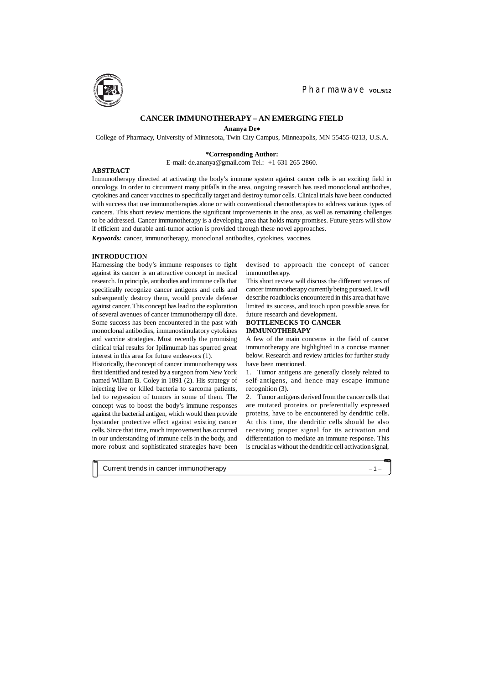#### **INTRODUCTION**

Harnessing the body's immune responses to fight against its cancer is an attractive concept in medical research. In principle, antibodies and immune cells that specifically recognize cancer antigens and cells and subsequently destroy them, would provide defense against cancer. This concept has lead to the exploration of several avenues of cancer immunotherapy till date. Some success has been encountered in the past with monoclonal antibodies, immunostimulatory cytokines and vaccine strategies. Most recently the promising clinical trial results for Ipilimumab has spurred great interest in this area for future endeavors (1).

Historically, the concept of cancer immunotherapy was first identified and tested by a surgeon from New York named William B. Coley in 1891 (2). His strategy of injecting live or killed bacteria to sarcoma patients, led to regression of tumors in some of them. The concept was to boost the body's immune responses against the bacterial antigen, which would then provide bystander protective effect against existing cancer cells. Since that time, much improvement has occurred in our understanding of immune cells in the body, and more robust and sophisticated strategies have been



**Ananya De**

College of Pharmacy, University of Minnesota, Twin City Campus, Minneapolis, MN 55455-0213, U.S.A.

#### **\*Corresponding Author:**

E-mail: de.ananya@gmail.com Tel.: +1 631 265 2860.

#### **ABSTRACT**

**CONTRACTOR** 

Immunotherapy directed at activating the body's immune system against cancer cells is an exciting field in oncology. In order to circumvent many pitfalls in the area, ongoing research has used monoclonal antibodies, cytokines and cancer vaccines to specifically target and destroy tumor cells. Clinical trials have been conducted with success that use immunotherapies alone or with conventional chemotherapies to address various types of cancers. This short review mentions the significant improvements in the area, as well as remaining challenges to be addressed. Cancer immunotherapy is a developing area that holds many promises. Future years will show if efficient and durable anti-tumor action is provided through these novel approaches.

*Keywords:* cancer, immunotherapy, monoclonal antibodies, cytokines, vaccines.

devised to approach the concept of cancer immunotherapy.

This short review will discuss the different venues of cancer immunotherapy currently being pursued. It will describe roadblocks encountered in this area that have limited its success, and touch upon possible areas for future research and development.

## **BOTTLENECKS TO CANCER IMMUNOTHERAPY**

A few of the main concerns in the field of cancer immunotherapy are highlighted in a concise manner below. Research and review articles for further study have been mentioned.

1. Tumor antigens are generally closely related to self-antigens, and hence may escape immune recognition (3).

2. Tumor antigens derived from the cancer cells that are mutated proteins or preferentially expressed proteins, have to be encountered by dendritic cells. At this time, the dendritic cells should be also receiving proper signal for its activation and differentiation to mediate an immune response. This is crucial as without the dendritic cell activation signal,

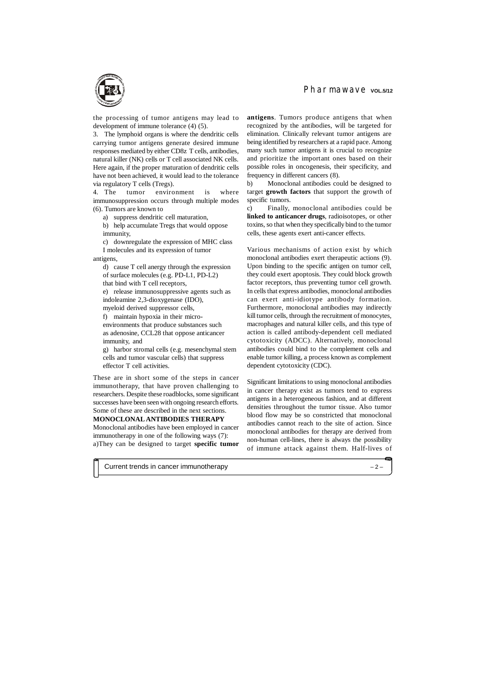the processing of tumor antigens may lead to development of immune tolerance (4) (5).

3. The lymphoid organs is where the dendritic cells carrying tumor antigens generate desired immune responses mediated by either CD8z T cells, antibodies, natural killer (NK) cells or T cell associated NK cells. Here again, if the proper maturation of dendritic cells have not been achieved, it would lead to the tolerance via regulatory T cells (Tregs).

4. The tumor environment is where immunosuppression occurs through multiple modes (6). Tumors are known to

a) suppress dendritic cell maturation,

b) help accumulate Tregs that would oppose immunity,

c) downregulate the expression of MHC class I molecules and its expression of tumor

antigens,

d) cause T cell anergy through the expression of surface molecules (e.g. PD-L1, PD-L2) that bind with T cell receptors,

e) release immunosuppressive agents such as indoleamine 2,3-dioxygenase (IDO), myeloid derived suppressor cells,

f) maintain hypoxia in their microenvironments that produce substances such as adenosine, CCL28 that oppose anticancer immunity, and

g) harbor stromal cells (e.g. mesenchymal stem cells and tumor vascular cells) that suppress effector T cell activities.

These are in short some of the steps in cancer immunotherapy, that have proven challenging to researchers. Despite these roadblocks, some significant successes have been seen with ongoing research efforts. Some of these are described in the next sections. **MONOCLONAL ANTIBODIES THERAPY**

Monoclonal antibodies have been employed in cancer immunotherapy in one of the following ways (7): a)They can be designed to target **specific tumor**

# Pharmawave vol.5/12

**antigens**. Tumors produce antigens that when recognized by the antibodies, will be targeted for elimination. Clinically relevant tumor antigens are being identified by researchers at a rapid pace. Among many such tumor antigens it is crucial to recognize and prioritize the important ones based on their possible roles in oncogenesis, their specificity, and frequency in different cancers (8).

b) Monoclonal antibodies could be designed to target **growth factors** that support the growth of specific tumors.

c) Finally, monoclonal antibodies could be **linked to anticancer drugs**, radioisotopes, or other toxins, so that when they specifically bind to the tumor cells, these agents exert anti-cancer effects.

Various mechanisms of action exist by which monoclonal antibodies exert therapeutic actions (9). Upon binding to the specific antigen on tumor cell, they could exert apoptosis. They could block growth factor receptors, thus preventing tumor cell growth. In cells that express antibodies, monoclonal antibodies can exert anti-idiotype antibody formation. Furthermore, monoclonal antibodies may indirectly kill tumor cells, through the recruitment of monocytes, macrophages and natural killer cells, and this type of action is called antibody-dependent cell mediated cytotoxicity (ADCC). Alternatively, monoclonal antibodies could bind to the complement cells and enable tumor killing, a process known as complement dependent cytotoxicity (CDC).

Significant limitations to using monoclonal antibodies in cancer therapy exist as tumors tend to express antigens in a heterogeneous fashion, and at different densities throughout the tumor tissue. Also tumor blood flow may be so constricted that monoclonal antibodies cannot reach to the site of action. Since monoclonal antibodies for therapy are derived from non-human cell-lines, there is always the possibility of immune attack against them. Half-lives of

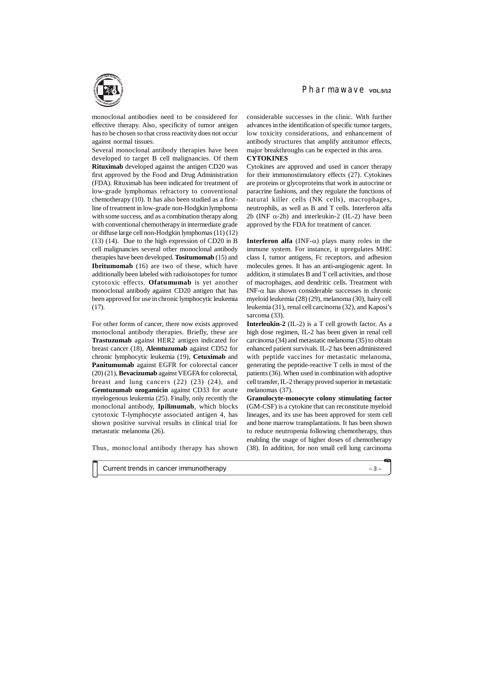monoclonal antibodies need to be considered for effective therapy. Also, specificity of tumor antigen has to be chosen so that cross reactivity does not occur against normal tissues.

Several monoclonal antibody therapies have been developed to target B cell malignancies. Of them **Rituximab** developed against the antigen CD20 was first approved by the Food and Drug Administration (FDA). Rituximab has been indicated for treatment of low-grade lymphomas refractory to conventional chemotherapy (10). It has also been studied as a firstline of treatment in low-grade non-Hodgkin lymphoma with some success, and as a combination therapy along with conventional chemotherapy in intermediate grade or diffuse large cell non-Hodgkin lymphomas (11) (12) (13) (14). Due to the high expression of CD20 in B cell malignancies several other monoclonal antibody therapies have been developed. **Tositumomab** (15) and **Ibritumomab** (16) are two of these, which have additionally been labeled with radioisotopes for tumor cytotoxic effects. **Ofatumumab** is yet another monoclonal antibody against CD20 antigen that has been approved for use in chronic lymphocytic leukemia (17).

For other forms of cancer, there now exists approved monoclonal antibody therapies. Briefly, these are **Trastuzumab** against HER2 antigen indicated for breast cancer (18), **Alemtuzumab** against CD52 for chronic lymphocytic leukemia (19), **Cetuximab** and **Panitumumab** against EGFR for colorectal cancer (20) (21), **Bevacizumab** against VEGFA for colorectal, breast and lung cancers  $(22)$   $(23)$   $(24)$ , and **Gemtuzumab ozogamicin** against CD33 for acute myelogenous leukemia (25). Finally, only recently the monoclonal antibody, **Ipilimumab**, which blocks cytotoxic T-lymphocyte associated antigen 4, has shown positive survival results in clinical trial for metastatic melanoma (26).

**Interferon alfa** (INF- $\alpha$ ) plays many roles in the immune system. For instance, it upregulates MHC class I, tumor antigens, Fc receptors, and adhesion molecules genes. It has an anti-angiogenic agent. In addition, it stimulates B and T cell activities, and those of macrophages, and dendritic cells. Treatment with INF- $\alpha$  has shown considerable successes in chronic myeloid leukemia (28) (29), melanoma (30), hairy cell leukemia (31), renal cell carcinoma (32), and Kaposi's sarcoma (33).

Thus, monoclonal antibody therapy has shown

considerable successes in the clinic. With further advances in the identification of specific tumor targets, low toxicity considerations, and enhancement of antibody structures that amplify antitumor effects, major breakthroughs can be expected in this area. **CYTOKINES**

Cytokines are approved and used in cancer therapy for their immunostimulatory effects (27). Cytokines are proteins or glycoproteins that work in autocrine or paracrine fashions, and they regulate the functions of natural killer cells (NK cells), macrophages, neutrophils, as well as B and T cells. Interferon alfa 2b (INF  $\alpha$ -2b) and interleukin-2 (IL-2) have been approved by the FDA for treatment of cancer.

**Interleukin-2** (IL-2) is a T cell growth factor. As a high dose regimen, IL-2 has been given in renal cell carcinoma (34) and metastatic melanoma (35) to obtain enhanced patient survivals. IL-2 has been administered with peptide vaccines for metastatic melanoma, generating the peptide-reactive T cells in most of the patients (36). When used in combination with adoptive cell transfer, IL-2 therapy proved superior in metastatic melanomas (37).

**Granulocyte-monocyte colony stimulating factor** (GM-CSF) is a cytokine that can reconstitute myeloid lineages, and its use has been approved for stem cell and bone marrow transplantations. It has been shown to reduce neutropenia following chemotherapy, thus enabling the usage of higher doses of chemotherapy (38). In addition, for non small cell lung carcinoma

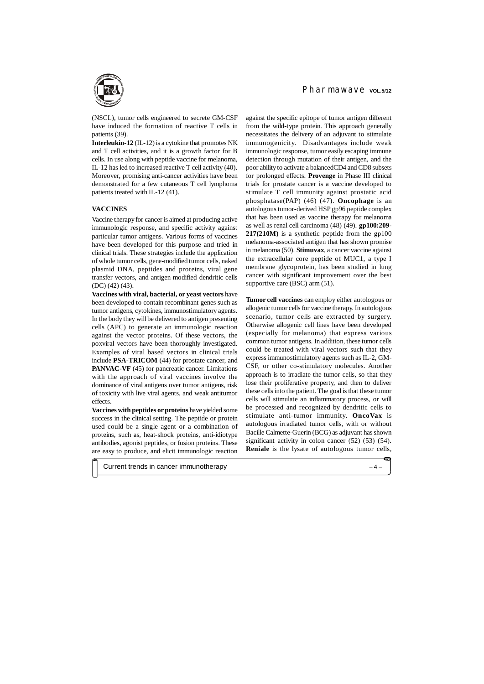(NSCL), tumor cells engineered to secrete GM-CSF have induced the formation of reactive T cells in patients (39).

**Interleukin-12** (IL-12) is a cytokine that promotes NK and T cell activities, and it is a growth factor for B cells. In use along with peptide vaccine for melanoma, IL-12 has led to increased reactive T cell activity (40). Moreover, promising anti-cancer activities have been demonstrated for a few cutaneous T cell lymphoma patients treated with IL-12 (41).

#### **VACCINES**

Vaccine therapy for cancer is aimed at producing active immunologic response, and specific activity against particular tumor antigens. Various forms of vaccines have been developed for this purpose and tried in clinical trials. These strategies include the application of whole tumor cells, gene-modified tumor cells, naked plasmid DNA, peptides and proteins, viral gene transfer vectors, and antigen modified dendritic cells (DC) (42) (43).

against the specific epitope of tumor antigen different from the wild-type protein. This approach generally necessitates the delivery of an adjuvant to stimulate immunogenicity. Disadvantages include weak immunologic response, tumor easily escaping immune detection through mutation of their antigen, and the poor ability to activate a balancedCD4 and CD8 subsets for prolonged effects. **Provenge** in Phase III clinical trials for prostate cancer is a vaccine developed to stimulate T cell immunity against prostatic acid phosphatase(PAP) (46) (47). **Oncophage** is an autologous tumor-derived HSP gp96 peptide complex that has been used as vaccine therapy for melanoma as well as renal cell carcinoma (48) (49). **gp100:209- 217(210M)** is a synthetic peptide from the gp100 melanoma-associated antigen that has shown promise in melanoma (50). **Stimuvax**, a cancer vaccine against the extracellular core peptide of MUC1, a type I membrane glycoprotein, has been studied in lung cancer with significant improvement over the best supportive care (BSC) arm  $(51)$ .

**Vaccines with viral, bacterial, or yeast vectors** have been developed to contain recombinant genes such as tumor antigens, cytokines, immunostimulatory agents. In the body they will be delivered to antigen presenting cells (APC) to generate an immunologic reaction against the vector proteins. Of these vectors, the poxviral vectors have been thoroughly investigated. Examples of viral based vectors in clinical trials include **PSA-TRICOM** (44) for prostate cancer, and **PANVAC-VF** (45) for pancreatic cancer. Limitations with the approach of viral vaccines involve the dominance of viral antigens over tumor antigens, risk of toxicity with live viral agents, and weak antitumor effects.

**Vaccines with peptides or proteins** have yielded some success in the clinical setting. The peptide or protein used could be a single agent or a combination of proteins, such as, heat-shock proteins, anti-idiotype antibodies, agonist peptides, or fusion proteins. These are easy to produce, and elicit immunologic reaction

# Pharmawave vol.5/12

**Tumor cell vaccines** can employ either autologous or allogenic tumor cells for vaccine therapy. In autologous scenario, tumor cells are extracted by surgery. Otherwise allogenic cell lines have been developed (especially for melanoma) that express various common tumor antigens. In addition, these tumor cells could be treated with viral vectors such that they express immunostimulatory agents such as IL-2, GM-CSF, or other co-stimulatory molecules. Another approach is to irradiate the tumor cells, so that they lose their proliferative property, and then to deliver these cells into the patient. The goal is that these tumor cells will stimulate an inflammatory process, or will be processed and recognized by dendritic cells to stimulate anti-tumor immunity. **OncoVax** is autologous irradiated tumor cells, with or without Bacille Calmette-Guerin (BCG) as adjuvant has shown significant activity in colon cancer (52) (53) (54). **Reniale** is the lysate of autologous tumor cells,

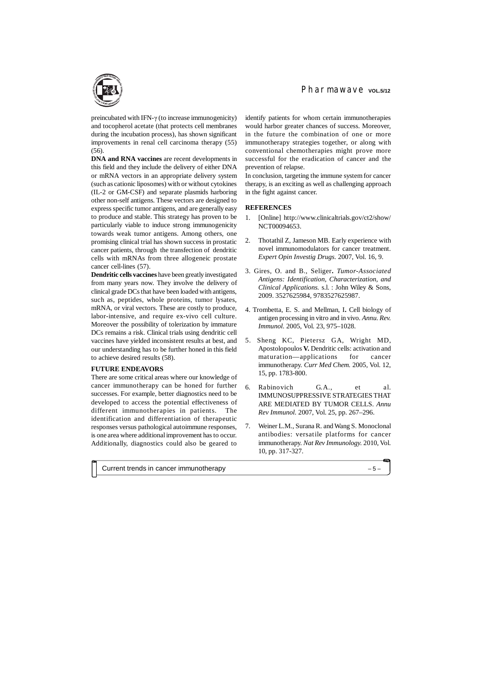preincubated with IFN- $\gamma$  (to increase immunogenicity) and tocopherol acetate (that protects cell membranes during the incubation process), has shown significant improvements in renal cell carcinoma therapy (55) (56).

**DNA and RNA vaccines** are recent developments in this field and they include the delivery of either DNA or mRNA vectors in an appropriate delivery system (such as cationic liposomes) with or without cytokines (IL-2 or GM-CSF) and separate plasmids harboring other non-self antigens. These vectors are designed to express specific tumor antigens, and are generally easy to produce and stable. This strategy has proven to be particularly viable to induce strong immunogenicity towards weak tumor antigens. Among others, one promising clinical trial has shown success in prostatic cancer patients, through the transfection of dendritic cells with mRNAs from three allogeneic prostate cancer cell-lines (57).

**Dendritic cells vaccines** have been greatly investigated from many years now. They involve the delivery of clinical grade DCs that have been loaded with antigens, such as, peptides, whole proteins, tumor lysates, mRNA, or viral vectors. These are costly to produce, labor-intensive, and require ex-vivo cell culture. Moreover the possibility of tolerization by immature DCs remains a risk. Clinical trials using dendritic cell vaccines have yielded inconsistent results at best, and our understanding has to be further honed in this field to achieve desired results (58).

### **FUTURE ENDEAVORS**

There are some critical areas where our knowledge of cancer immunotherapy can be honed for further successes. For example, better diagnostics need to be developed to access the potential effectiveness of different immunotherapies in patients. The identification and differentiation of therapeutic responses versus pathological autoimmune responses, is one area where additional improvement has to occur. Additionally, diagnostics could also be geared to

identify patients for whom certain immunotherapies would harbor greater chances of success. Moreover, in the future the combination of one or more immunotherapy strategies together, or along with conventional chemotherapies might prove more successful for the eradication of cancer and the prevention of relapse.

In conclusion, targeting the immune system for cancer therapy, is an exciting as well as challenging approach in the fight against cancer.

## **REFERENCES**

- 1. [Online] <http://www.clinicaltrials.gov/ct2/show/> NCT00094653.
- 2. Thotathil Z, Jameson MB. Early experience with novel immunomodulators for cancer treatment. *Expert Opin Investig Drugs.* 2007, Vol. 16, 9.
- 3. Gires, O. and B., Seliger**.** *Tumor-Associated Antigens: Identification, Characterization, and Clinical Applications.* s.l. : John Wiley & Sons, 2009. 3527625984, 9783527625987.
- 4. Trombetta, E. S. and Mellman, I**.** Cell biology of antigen processing in vitro and in vivo. *Annu. Rev. Immunol.* 2005, Vol. 23, 975–1028.
- 5. Sheng KC, Pietersz GA, Wright MD, Apostolopoulos **V.** Dendritic cells: activation and maturation—applications for cancer immunotherapy. *Curr Med Chem.* 2005, Vol. 12, 15, pp. 1783-800.
- 6. Rabinovich G.A., et al. IMMUNOSUPPRESSIVE STRATEGIES THAT ARE MEDIATED BY TUMOR CELLS. *Annu Rev Immunol.* 2007, Vol. 25, pp. 267–296.
- 7. Weiner L.M., Surana R. and Wang S. Monoclonal antibodies: versatile platforms for cancer immunotherapy. *Nat Rev Immunology.* 2010, Vol. 10, pp. 317-327.

Current trends in cancer immunotherapy – 5 –

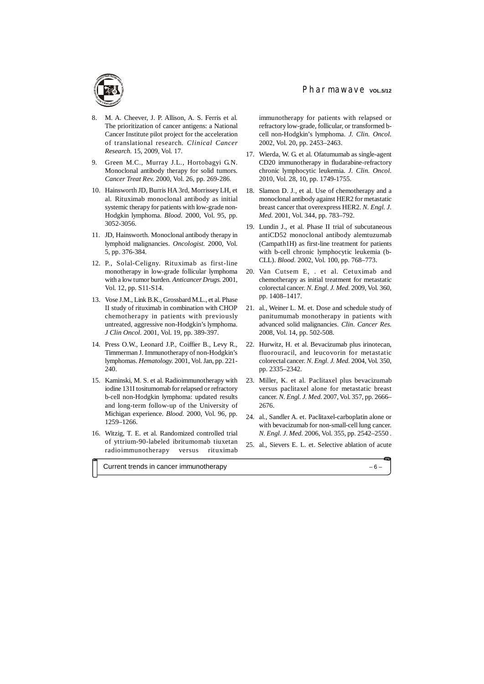- 8. M. A. Cheever, J. P. Allison, A. S. Ferris et al. The prioritization of cancer antigens: a National Cancer Institute pilot project for the acceleration of translational research. *Clinical Cancer Research.* 15, 2009, Vol. 17.
- 9. Green M.C., Murray J.L., Hortobagyi G.N. Monoclonal antibody therapy for solid tumors. *Cancer Treat Rev.* 2000, Vol. 26, pp. 269-286.
- 10. Hainsworth JD, Burris HA 3rd, Morrissey LH, et al. Rituximab monoclonal antibody as initial systemic therapy for patients with low-grade non-Hodgkin lymphoma. *Blood.* 2000, Vol. 95, pp. 3052-3056.
- 11. JD, Hainsworth. Monoclonal antibody therapy in lymphoid malignancies. *Oncologist.* 2000, Vol. 5, pp. 376-384.
- 12. P., Solal-Celigny. Rituximab as first-line monotherapy in low-grade follicular lymphoma with a low tumor burden. *Anticancer Drugs.* 2001, Vol. 12, pp. S11-S14.
- 13. Vose J.M., Link B.K., Grossbard M.L., et al. Phase II study of rituximab in combination with CHOP chemotherapy in patients with previously untreated, aggressive non-Hodgkin's lymphoma. *J Clin Oncol.* 2001, Vol. 19, pp. 389-397.
- 14. Press O.W., Leonard J.P., Coiffier B., Levy R., Timmerman J. Immunotherapy of non-Hodgkin's lymphomas. *Hematology.* 2001, Vol. Jan, pp. 221- 240.
- 15. Kaminski, M. S. et al. Radioimmunotherapy with iodine 131I tositumomab for relapsed or refractory b-cell non-Hodgkin lymphoma: updated results and long-term follow-up of the University of Michigan experience. *Blood.* 2000, Vol. 96, pp. 1259–1266.
- 16. Witzig, T. E. et al. Randomized controlled trial of yttrium-90-labeled ibritumomab tiuxetan radioimmunotherapy versus rituximab

immunotherapy for patients with relapsed or refractory low-grade, follicular, or transformed bcell non-Hodgkin's lymphoma. *J. Clin. Oncol.* 2002, Vol. 20, pp. 2453–2463.

- 17. Wierda, W. G. et al. Ofatumumab as single-agent CD20 immunotherapy in fludarabine-refractory chronic lymphocytic leukemia. *J. Clin. Oncol.* 2010, Vol. 28, 10, pp. 1749-1755.
- 18. Slamon D. J., et al. Use of chemotherapy and a monoclonal antibody against HER2 for metastatic breast cancer that overexpress HER2. *N. Engl. J. Med.* 2001, Vol. 344, pp. 783–792.
- 19. Lundin J., et al. Phase II trial of subcutaneous antiCD52 monoclonal antibody alemtuzumab (Campath1H) as first-line treatment for patients with b-cell chronic lymphocytic leukemia (b-CLL). *Blood.* 2002, Vol. 100, pp. 768–773.
- 20. Van Cutsem E, . et al. Cetuximab and chemotherapy as initial treatment for metastatic colorectal cancer. *N. Engl. J. Med.* 2009, Vol. 360, pp. 1408–1417.
- 21. al., Weiner L. M. et. Dose and schedule study of panitumumab monotherapy in patients with advanced solid malignancies. *Clin. Cancer Res.* 2008, Vol. 14, pp. 502-508.
- 22. Hurwitz, H. et al. Bevacizumab plus irinotecan, fluorouracil, and leucovorin for metastatic colorectal cancer. *N. Engl. J. Med.* 2004, Vol. 350, pp. 2335–2342.
- 23. Miller, K. et al. Paclitaxel plus bevacizumab versus paclitaxel alone for metastatic breast cancer. *N. Engl. J. Med.* 2007, Vol. 357, pp. 2666– 2676.
- 24. al., Sandler A. et. Paclitaxel-carboplatin alone or with bevacizumab for non-small-cell lung cancer. *N. Engl. J. Med.* 2006, Vol. 355, pp. 2542–2550 .
- 25. al., Sievers E. L. et. Selective ablation of acute

Current trends in cancer immunotherapy – 6 –

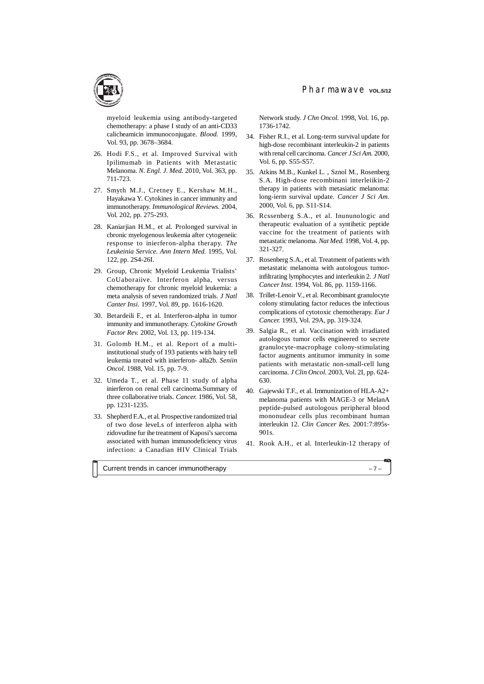myeloid leukemia using antibody-targeted chemotherapy: a phase I study of an anti-CD33 calicheamicin immunoconjugate. *Blood.* 1999, Vol. 93, pp. 3678–3684.

- 26. Hodi F.S., et al. Improved Survival with Ipilimumab in Patients with Metastatic Melanoma. *N. Engl. J. Med.* 2010, Vol. 363, pp. 711-723.
- 27. Smyth M.J., Cretney E., Kershaw M.H., Hayakawa Y. Cytokines in cancer immunity and immunotherapy. *Immunological Reviews.* 2004, Vol. 202, pp. 275-293.
- 28. Kaniarjian H.M., et al. Prolonged survival in cbronic myelogenous leukemia after cytogeneiic response to inierferon-alpha therapy. *The Leukeinia Service. Ann Intern Med.* 1995, Vol. 122, pp. 2S4-26I.
- 29. Group, Chronic Myeloid Leukemia Trialists' CoUaboraiive. Interferon alpha, versus chemotherapy for chronic myeloid leukemia: a meta analysis of seven randomized trials. *J Natl Canter Insi.* 1997, Vol. 89, pp. 1616-1620.
- 30. Betardeili F., et al. Interferon-alpha in tumor immunity and immunotherapy. *Cytokine Growth Factor Rev.* 2002, Vol. 13, pp. 119-134.
- 31. Golomb H.M., et al. Report of a multiinstitutional study of 193 patients with hairy tell leukemia treated with inierferon- alfa2b. *Seniin Oncol.* 1988, Vol. 15, pp. 7-9.
- 32. Umeda T., et al. Phase 11 study of alpha inierferon on renal cell carcinoma.Summary of three collaborative trials. *Cancer.* 1986, Vol. 58, pp. 1231-1235.
- 33. Shepherd F.A., et al. Prospective randomized trial of two dose leveLs of interferon alpha with zidovudine fur ihe treatment of Kaposi's sarcoma associated with human immunodeficiency virus infection: a Canadian HIV Clinical Trials

Network study. *J Chn Oncol.* 1998, Vol. 16, pp. 1736-1742.

- 34. Fisher R.I., et al. Long-term survival update for high-dose recombinant interleukin-2 in patients with renal cell carcinoma. *Cancer J Sci Am.* 2000, Vol. 6, pp. S55-S57.
- 35. Atkins M.B., Kunkel L. , Sznol M., Rosenberg S.A. High-dose recombinani interleiikin-2 therapy in patients with metasiatic melanoma: long-ierm survival update. *Cancer J Sci Am.* 2000, Vol. 6, pp. S11-S14.
- 36. Rcssenberg S.A., et al. Inununologic and therapeutic evaluation of a syntihetic peptide vaccine for the treatment of patients with metastatic melanoma. *Nat Med.* 1998, Vol. 4, pp. 321-327.
- 37. Rosenberg S.A., et al. Treatment of patients with metastatic melanoma with autologous tumorinfiltrating lymphocytes and interleukin 2. *J Natl Cancer Inst.* 1994, Vol. 86, pp. 1159-1166.
- 38. Trillet-Lenoir V., et al. Recombinant granulocyte colony stimulating factor reduces tbe infectious complications of cytotoxic chemotherapy. *Eur J Cancer.* 1993, Vol. 29A, pp. 319-324.
- 39. Salgia R., et al. Vaccination with irradiated autologous tumor cells engineered to secrete granulocyte-macrophage colony-stimulating factor augments antitumor immunity in some patients with metastatic non-small-cell lung carcinoma. *J Clin Oncol.* 2003, Vol. 2I, pp. 624- 630.
- 40. Gajewski T.F., et al. Immunization of HLA-A2+ melanoma patients with MAGE-3 or MelanA peptide-pulsed autologous peripheral blood mononudear cells plus recombinant human interleukin 12. *Clin Cancer Res.* 2001:7:895s-901s.
- 41. Rook A.H., et al. Interleukin-12 therapy of

Current trends in cancer immunotherapy – 7 –

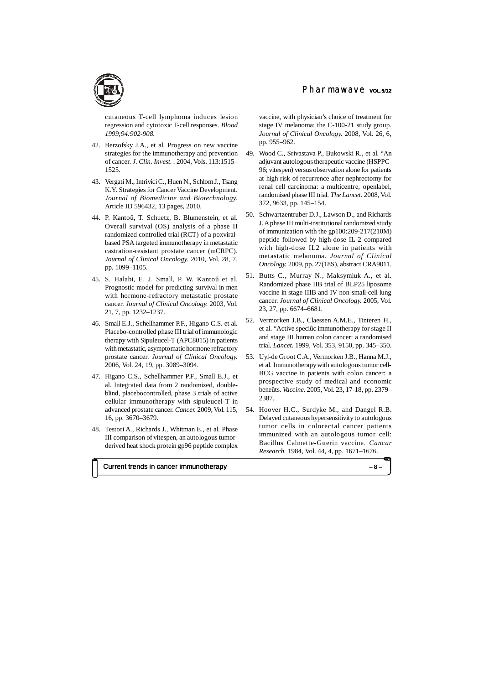cutaneous T-cell lymphoma induces lesion regression and cytotoxic T-cell responses. *Blood 1999;94:902-908.*

- 42. Berzofsky J.A., et al. Progress on new vaccine strategies for the immunotherapy and prevention of cancer. *J. Clin. Invest. .* 2004, Vols. 113:1515– 1525.
- 43. Vergati M., Intrivici C., Huen N., Schlom J., Tsang K.Y. Strategies for Cancer Vaccine Development. *Journal of Biomedicine and Biotechnology.* Article ID 596432, 13 pages, 2010.
- 44. P. Kantoû, T. Schuetz, B. Blumenstein, et al. Overall survival (OS) analysis of a phase II randomized controlled trial (RCT) of a poxviralbased PSA targeted immunotherapy in metastatic castration-resistant prostate cancer (mCRPC). *Journal of Clinical Oncology.* 2010, Vol. 28, 7, pp. 1099–1105.
- 45. S. Halabi, E. J. Small, P. W. Kantoû et al. Prognostic model for predicting survival in men with hormone-refractory metastatic prostate cancer. *Journal of Clinical Oncology.* 2003, Vol. 21, 7, pp. 1232–1237.
- 46. Small E.J., Schellhammer P.F., Higano C.S. et al. Placebo-controlled phase III trial of immunologic therapy with Sipuleucel-T (APC8015) in patients with metastatic, asymptomatic hormone refractory prostate cancer. *Journal of Clinical Oncology.* 2006, Vol. 24, 19, pp. 3089–3094.
- 47. Higano C.S., Schellhammer P.F., Small E.J., et al. Integrated data from 2 randomized, doubleblind, placebocontrolled, phase 3 trials of active cellular immunotherapy with sipuleucel-T in advanced prostate cancer. *Cancer.* 2009, Vol. 115, 16, pp. 3670–3679.
- 48. Testori A., Richards J., Whitman E., et al. Phase III comparison of vitespen, an autologous tumorderived heat shock protein gp96 peptide complex

# Pharmawave vol.5/12

vaccine, with physician's choice of treatment for stage IV melanoma: the C-100-21 study group. *Journal of Clinical Oncology.* 2008, Vol. 26, 6, pp. 955–962.

- 49. Wood C., Srivastava P., Bukowski R., et al. "An adjuvant autologous therapeutic vaccine (HSPPC-96; vitespen) versus observation alone for patients at high risk of recurrence after nephrectomy for renal cell carcinoma: a multicentre, openlabel, randomised phase III trial. *The Lancet.* 2008, Vol. 372, 9633, pp. 145–154.
- 50. Schwartzentruber D.J., Lawson D., and Richards J. A phase III multi-institutional randomized study of immunization with the gp100:209-217(210M) peptide followed by high-dose IL-2 compared with high-dose IL2 alone in patients with metastatic melanoma. *Journal of Clinical Oncology.* 2009, pp. 27(18S), abstract CRA9011.
- 51. Butts C., Murray N., Maksymiuk A., et al. Randomized phase IIB trial of BLP25 liposome vaccine in stage IIIB and IV non-small-cell lung cancer. *Journal of Clinical Oncology.* 2005, Vol. 23, 27, pp. 6674–6681.
- 52. Vermorken J.B., Claessen A.M.E., Tinteren H., et al. "Active speciûc immunotherapy for stage II and stage III human colon cancer: a randomised trial. *Lancet.* 1999, Vol. 353, 9150, pp. 345–350.
- 53. Uyl-de Groot C.A., Vermorken J.B., Hanna M.J., et al. Immunotherapy with autologous tumor cell-BCG vaccine in patients with colon cancer: a prospective study of medical and economic beneûts. *Vaccine.* 2005, Vol. 23, 17-18, pp. 2379– 2387.
- 54. Hoover H.C., Surdyke M., and Dangel R.B. Delayed cutaneous hypersensitivity to autologous tumor cells in colorectal cancer patients immunized with an autologous tumor cell: Bacillus Calmette-Guerin vaccine. *Cancar Research.* 1984, Vol. 44, 4, pp. 1671–1676.

Current trends in cancer immunotherapy – 8 –